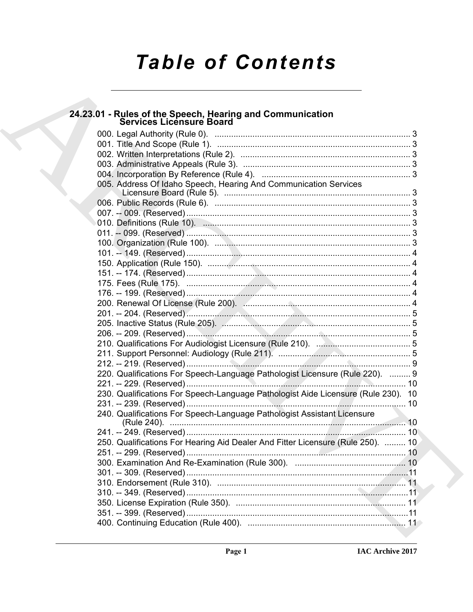# **Table of Contents**

# 24.23.01 - Rules of the Speech, Hearing and Communication<br>Services Licensure Board

| 005. Address Of Idaho Speech, Hearing And Communication Services                  |  |
|-----------------------------------------------------------------------------------|--|
|                                                                                   |  |
|                                                                                   |  |
|                                                                                   |  |
|                                                                                   |  |
|                                                                                   |  |
|                                                                                   |  |
|                                                                                   |  |
|                                                                                   |  |
|                                                                                   |  |
|                                                                                   |  |
|                                                                                   |  |
|                                                                                   |  |
|                                                                                   |  |
|                                                                                   |  |
|                                                                                   |  |
|                                                                                   |  |
|                                                                                   |  |
|                                                                                   |  |
| 220. Qualifications For Speech-Language Pathologist Licensure (Rule 220).  9      |  |
|                                                                                   |  |
| 230. Qualifications For Speech-Language Pathologist Aide Licensure (Rule 230). 10 |  |
|                                                                                   |  |
| 240. Qualifications For Speech-Language Pathologist Assistant Licensure           |  |
|                                                                                   |  |
|                                                                                   |  |
| 250. Qualifications For Hearing Aid Dealer And Fitter Licensure (Rule 250).  10   |  |
|                                                                                   |  |
|                                                                                   |  |
|                                                                                   |  |
|                                                                                   |  |
|                                                                                   |  |
|                                                                                   |  |
|                                                                                   |  |
|                                                                                   |  |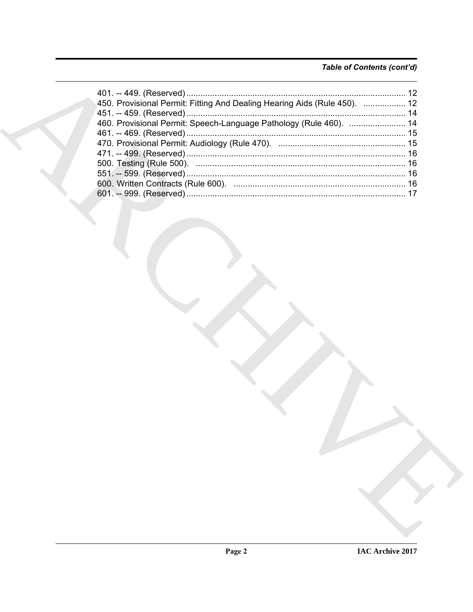# Table of Contents (cont'd)

| 450. Provisional Permit: Fitting And Dealing Hearing Aids (Rule 450).  12 |  |
|---------------------------------------------------------------------------|--|
|                                                                           |  |
|                                                                           |  |
|                                                                           |  |
|                                                                           |  |
|                                                                           |  |
|                                                                           |  |
|                                                                           |  |
|                                                                           |  |
|                                                                           |  |
|                                                                           |  |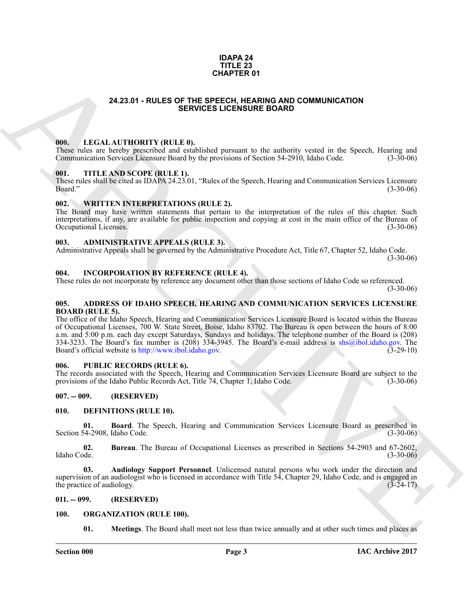#### **IDAPA 24 TITLE 23 CHAPTER 01**

### **24.23.01 - RULES OF THE SPEECH, HEARING AND COMMUNICATION SERVICES LICENSURE BOARD**

#### <span id="page-2-1"></span><span id="page-2-0"></span>**000. LEGAL AUTHORITY (RULE 0).**

These rules are hereby prescribed and established pursuant to the authority vested in the Speech, Hearing and Communication Services Licensure Board by the provisions of Section 54-2910. Idaho Code. (3-30-06) Communication Services Licensure Board by the provisions of Section 54-2910, Idaho Code.

#### <span id="page-2-2"></span>**001. TITLE AND SCOPE (RULE 1).**

These rules shall be cited as IDAPA 24.23.01, "Rules of the Speech, Hearing and Communication Services Licensure Board." (3-30-06)

#### <span id="page-2-3"></span>**002. WRITTEN INTERPRETATIONS (RULE 2).**

The Board may have written statements that pertain to the interpretation of the rules of this chapter. Such interpretations, if any, are available for public inspection and copying at cost in the main office of the Bureau of Occupational Licenses. (3-30-06)

#### <span id="page-2-4"></span>**003. ADMINISTRATIVE APPEALS (RULE 3).**

Administrative Appeals shall be governed by the Administrative Procedure Act, Title 67, Chapter 52, Idaho Code.

(3-30-06)

#### <span id="page-2-5"></span>**004. INCORPORATION BY REFERENCE (RULE 4).**

These rules do not incorporate by reference any document other than those sections of Idaho Code so referenced.

 $(3-30-06)$ 

#### <span id="page-2-6"></span>**005. ADDRESS OF IDAHO SPEECH, HEARING AND COMMUNICATION SERVICES LICENSURE BOARD (RULE 5).**

**24.23.01 - RULES OF T[H](http://www.ibol.idaho.gov)E STREMA PR[I](mailto:shs@ibol.idaho.gov)CIA OR COMMUNICATION**<br> **ARCHIVE SERVICES LIGENSIDE BOARD COMMUNICATION**<br> **ARCHIVE SERVICES LIGENSIDE BOARD COMMUNICATION**<br> **ARCHIVE SERVICES LIGENSIDE BOARD COMMUNICATION**<br> **ARCHIVE SERV** The office of the Idaho Speech, Hearing and Communication Services Licensure Board is located within the Bureau of Occupational Licenses, 700 W. State Street, Boise, Idaho 83702. The Bureau is open between the hours of 8:00 a.m. and 5:00 p.m. each day except Saturdays, Sundays and holidays. The telephone number of the Board is (208) 334-3233. The Board's fax number is (208) 334-3945. The Board's e-mail address is shs@ibol.idaho.gov. The Board's official website is http://www.ibol.idaho.gov. (3-29-10)

#### <span id="page-2-7"></span>**006. PUBLIC RECORDS (RULE 6).**

The records associated with the Speech, Hearing and Communication Services Licensure Board are subject to the provisions of the Idaho Public Records Act. Title 74, Chapter 1, Idaho Code. (3-30-06) provisions of the Idaho Public Records Act, Title 74, Chapter 1, Idaho Code.

### <span id="page-2-8"></span>**007. -- 009. (RESERVED)**

#### <span id="page-2-12"></span><span id="page-2-9"></span>**010. DEFINITIONS (RULE 10).**

<span id="page-2-14"></span>**01. Board**. The Speech, Hearing and Communication Services Licensure Board as prescribed in Section 54-2908, Idaho Code.

<span id="page-2-15"></span>**02.** Bureau. The Bureau of Occupational Licenses as prescribed in Sections 54-2903 and 67-2602, Idaho Code. (3-30-06) Idaho Code. (3-30-06)

<span id="page-2-13"></span>**03. Audiology Support Personnel**. Unlicensed natural persons who work under the direction and supervision of an audiologist who is licensed in accordance with Title 54, Chapter 29, Idaho Code, and is engaged in the practice of audiology. (3-24-17) the practice of audiology.

#### <span id="page-2-10"></span>**011. -- 099. (RESERVED)**

#### <span id="page-2-11"></span>**100. ORGANIZATION (RULE 100).**

<span id="page-2-17"></span><span id="page-2-16"></span>**01. Meetings**. The Board shall meet not less than twice annually and at other such times and places as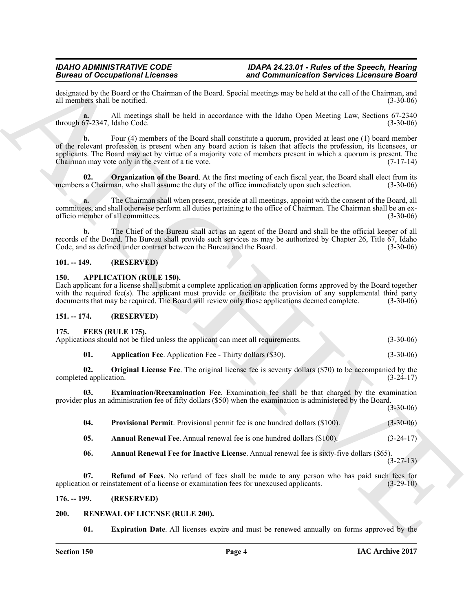designated by the Board or the Chairman of the Board. Special meetings may be held at the call of the Chairman, and all members shall be notified. (3-30-06) all members shall be notified.

**a.** All meetings shall be held in accordance with the Idaho Open Meeting Law, Sections 67-2340 through 67-2347, Idaho Code.

**Since the Contrainers of the Commute Contrainers of the Commute Contrainers and Commutes and School of the Commute Commute Contrainers and the Commute Commute Contrainers and the Commute Contrainers and the Commute Contr b.** Four (4) members of the Board shall constitute a quorum, provided at least one (1) board member of the relevant profession is present when any board action is taken that affects the profession, its licensees, or applicants. The Board may act by virtue of a majority vote of members present in which a quorum is present. The Chairman may vote only in the event of a tie vote. (7-17-14) Chairman may vote only in the event of a tie vote.

<span id="page-3-15"></span>**02.** Organization of the Board. At the first meeting of each fiscal year, the Board shall elect from its members a Chairman, who shall assume the duty of the office immediately upon such selection.  $(3-30-06)$ 

**a.** The Chairman shall when present, preside at all meetings, appoint with the consent of the Board, all committees, and shall otherwise perform all duties pertaining to the office of Chairman. The Chairman shall be an ex-<br>officio member of all committees. (3-30-06) officio member of all committees.

**b.** The Chief of the Bureau shall act as an agent of the Board and shall be the official keeper of all records of the Board. The Bureau shall provide such services as may be authorized by Chapter 26, Title  $67$ , Idaho Code, and as defined under contract between the Bureau and the Board. (3-30-06) Code, and as defined under contract between the Bureau and the Board.

# <span id="page-3-0"></span>**101. -- 149. (RESERVED)**

### <span id="page-3-6"></span><span id="page-3-1"></span>**150. APPLICATION (RULE 150).**

Each applicant for a license shall submit a complete application on application forms approved by the Board together with the required fee(s). The applicant must provide or facilitate the provision of any supplemental third party documents that may be required. The Board will review only those applications deemed complete. (3-30-06) documents that may be required. The Board will review only those applications deemed complete.

# <span id="page-3-2"></span>**151. -- 174. (RESERVED)**

#### <span id="page-3-7"></span><span id="page-3-3"></span>**175. FEES (RULE 175).**

| _______<br>Applications should not be filed unless the applicant can meet all requirements. | $(3-30-06)$ |
|---------------------------------------------------------------------------------------------|-------------|
|                                                                                             |             |

<span id="page-3-12"></span><span id="page-3-11"></span><span id="page-3-10"></span>**01.** Application Fee. Application Fee - Thirty dollars (\$30). (3-30-06)

**02. Original License Fee**. The original license fee is seventy dollars (\$70) to be accompanied by the dapplication. (3-24-17) completed application.

**03. Examination/Reexamination Fee**. Examination fee shall be that charged by the examination provider plus an administration fee of fifty dollars (\$50) when the examination is administered by the Board. (3-30-06)

<span id="page-3-13"></span><span id="page-3-8"></span>

| 04.   | <b>Provisional Permit.</b> Provisional permit fee is one hundred dollars (\$100). | $(3-30-06)$ |
|-------|-----------------------------------------------------------------------------------|-------------|
| - 05. | Annual Renewal Fee. Annual renewal fee is one hundred dollars (\$100).            | $(3-24-17)$ |

<span id="page-3-14"></span><span id="page-3-9"></span>**06. Annual Renewal Fee for Inactive License**. Annual renewal fee is sixty-five dollars (\$65).

 $(3-27-13)$ 

**07. Refund of Fees**. No refund of fees shall be made to any person who has paid such fees for on or reinstatement of a license or examination fees for unexcused applicants. (3-29-10) application or reinstatement of a license or examination fees for unexcused applicants.

# <span id="page-3-4"></span>**176. -- 199. (RESERVED)**

# <span id="page-3-5"></span>**200. RENEWAL OF LICENSE (RULE 200).**

<span id="page-3-17"></span><span id="page-3-16"></span>**01. Expiration Date**. All licenses expire and must be renewed annually on forms approved by the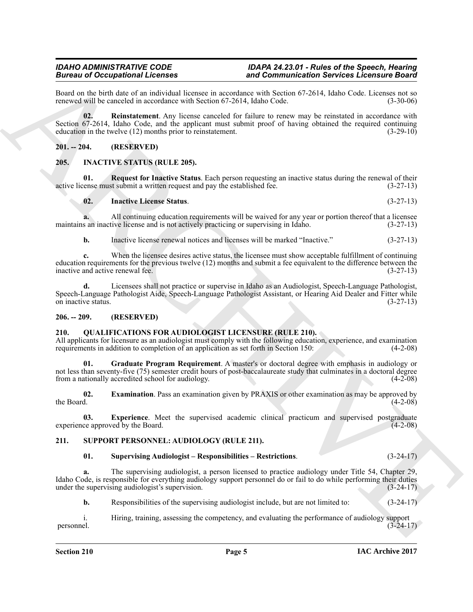Board on the birth date of an individual licensee in accordance with Section 67-2614, Idaho Code. Licenses not so renewed will be canceled in accordance with Section 67-2614. Idaho Code. (3-30-06) renewed will be canceled in accordance with Section 67-2614, Idaho Code.

<span id="page-4-12"></span>**02. Reinstatement**. Any license canceled for failure to renew may be reinstated in accordance with Section 67-2614, Idaho Code, and the applicant must submit proof of having obtained the required continuing education in the twelve  $(12)$  months prior to reinstatement.  $(3-29-10)$ education in the twelve  $(12)$  months prior to reinstatement.

# <span id="page-4-0"></span>**201. -- 204. (RESERVED)**

# <span id="page-4-5"></span><span id="page-4-1"></span>**205. INACTIVE STATUS (RULE 205).**

**01.** Request for Inactive Status. Each person requesting an inactive status during the renewal of their renewal of their renewal submit a written request and pay the established fee.  $(3-27-13)$ active license must submit a written request and pay the established fee.

<span id="page-4-7"></span><span id="page-4-6"></span>**02. Inactive License Status**. (3-27-13)

**a.** All continuing education requirements will be waived for any year or portion thereof that a licensee s an inactive license and is not actively practicing or supervising in Idaho.  $(3-27-13)$ maintains an inactive license and is not actively practicing or supervising in Idaho.

**b.** Inactive license renewal notices and licenses will be marked "Inactive." (3-27-13)

Brainward Coccapation in The term is a complaint with the state of the minimization Services Licensin's device and the state of the state of the state of the state of the state of the state of the state of the state of th **c.** When the licensee desires active status, the licensee must show acceptable fulfillment of continuing education requirements for the previous twelve (12) months and submit a fee equivalent to the difference between the inactive and active renewal fee. (3-27-13) inactive and active renewal fee.

**d.** Licensees shall not practice or supervise in Idaho as an Audiologist, Speech-Language Pathologist, Speech-Language Pathologist Aide, Speech-Language Pathologist Assistant, or Hearing Aid Dealer and Fitter while<br>
(3-27-13) on inactive status.

# <span id="page-4-2"></span>**206. -- 209. (RESERVED)**

# <span id="page-4-8"></span><span id="page-4-3"></span>**210. QUALIFICATIONS FOR AUDIOLOGIST LICENSURE (RULE 210).**

All applicants for licensure as an audiologist must comply with the following education, experience, and examination requirements in addition to completion of an application as set forth in Section 150: (4-2-08)

<span id="page-4-11"></span>**01. Graduate Program Requirement**. A master's or doctoral degree with emphasis in audiology or not less than seventy-five (75) semester credit hours of post-baccalaureate study that culminates in a doctoral degree from a nationally accredited school for audiology. (4-2-08)

<span id="page-4-9"></span>**02. Examination**. Pass an examination given by PRAXIS or other examination as may be approved by the Board. (4-2-08) the Board.  $(4-2-08)$ 

**03.** Experience. Meet the supervised academic clinical practicum and supervised postgraduate ce approved by the Board. (4-2-08) experience approved by the Board.

# <span id="page-4-4"></span>**211. SUPPORT PERSONNEL: AUDIOLOGY (RULE 211).**

#### <span id="page-4-14"></span><span id="page-4-13"></span><span id="page-4-10"></span>**01. Supervising Audiologist – Responsibilities – Restrictions**. (3-24-17)

**a.** The supervising audiologist, a person licensed to practice audiology under Title 54, Chapter 29, Idaho Code, is responsible for everything audiology support personnel do or fail to do while performing their duties under the supervising audiologist's supervision. (3-24-17)

**b.** Responsibilities of the supervising audiologist include, but are not limited to: (3-24-17)

i. Hiring, training, assessing the competency, and evaluating the performance of audiology support (3-24-17) (3-24-17) personnel. (3-24-17)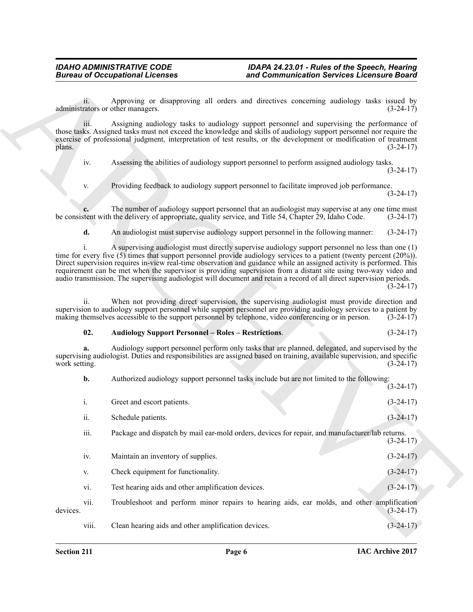#### <span id="page-5-0"></span>**02. Audiology Support Personnel – Roles – Restrictions**. (3-24-17)

|                     | <b>Bureau of Occupational Licenses</b>                     | and Communication Services Licensure Board                                                                                                                                                                                                                                                                                                                                                                                                                                                                                                                                                          |             |
|---------------------|------------------------------------------------------------|-----------------------------------------------------------------------------------------------------------------------------------------------------------------------------------------------------------------------------------------------------------------------------------------------------------------------------------------------------------------------------------------------------------------------------------------------------------------------------------------------------------------------------------------------------------------------------------------------------|-------------|
| 11.                 | administrators or other managers.                          | Approving or disapproving all orders and directives concerning audiology tasks issued by                                                                                                                                                                                                                                                                                                                                                                                                                                                                                                            | $(3-24-17)$ |
| 111.<br>plans.      |                                                            | Assigning audiology tasks to audiology support personnel and supervising the performance of<br>those tasks. Assigned tasks must not exceed the knowledge and skills of audiology support personnel nor require the<br>exercise of professional judgment, interpretation of test results, or the development or modification of treatment                                                                                                                                                                                                                                                            | $(3-24-17)$ |
| iv.                 |                                                            | Assessing the abilities of audiology support personnel to perform assigned audiology tasks.                                                                                                                                                                                                                                                                                                                                                                                                                                                                                                         | $(3-24-17)$ |
| V.                  |                                                            | Providing feedback to audiology support personnel to facilitate improved job performance.                                                                                                                                                                                                                                                                                                                                                                                                                                                                                                           | $(3-24-17)$ |
|                     |                                                            | The number of audiology support personnel that an audiologist may supervise at any one time must<br>be consistent with the delivery of appropriate, quality service, and Title 54, Chapter 29, Idaho Code.                                                                                                                                                                                                                                                                                                                                                                                          | $(3-24-17)$ |
| d.                  |                                                            | An audiologist must supervise audiology support personnel in the following manner:                                                                                                                                                                                                                                                                                                                                                                                                                                                                                                                  | $(3-24-17)$ |
|                     |                                                            | A supervising audiologist must directly supervise audiology support personnel no less than one (1)<br>time for every five $(5)$ times that support personnel provide audiology services to a patient (twenty percent $(20\%)$ ).<br>Direct supervision requires in-view real-time observation and guidance while an assigned activity is performed. This<br>requirement can be met when the supervisor is providing supervision from a distant site using two-way video and<br>audio transmission. The supervising audiologist will document and retain a record of all direct supervision periods. | $(3-24-17)$ |
| 11.                 |                                                            | When not providing direct supervision, the supervising audiologist must provide direction and<br>supervision to audiology support personnel while support personnel are providing audiology services to a patient by<br>making themselves accessible to the support personnel by telephone, video conferencing or in person.                                                                                                                                                                                                                                                                        | $(3-24-17)$ |
| 02.                 | <b>Audiology Support Personnel - Roles - Restrictions.</b> |                                                                                                                                                                                                                                                                                                                                                                                                                                                                                                                                                                                                     | $(3-24-17)$ |
| a.<br>work setting. |                                                            | Audiology support personnel perform only tasks that are planned, delegated, and supervised by the<br>supervising audiologist. Duties and responsibilities are assigned based on training, available supervision, and specific                                                                                                                                                                                                                                                                                                                                                                       | $(3-24-17)$ |
| b.                  |                                                            | Authorized audiology support personnel tasks include but are not limited to the following:                                                                                                                                                                                                                                                                                                                                                                                                                                                                                                          | $(3-24-17)$ |
| i.                  | Greet and escort patients.                                 |                                                                                                                                                                                                                                                                                                                                                                                                                                                                                                                                                                                                     | $(3-24-17)$ |
| ii.                 | Schedule patients.                                         |                                                                                                                                                                                                                                                                                                                                                                                                                                                                                                                                                                                                     | $(3-24-17)$ |
| iii.                |                                                            | Package and dispatch by mail ear-mold orders, devices for repair, and manufacturer/lab returns.                                                                                                                                                                                                                                                                                                                                                                                                                                                                                                     | $(3-24-17)$ |
| iv.                 | Maintain an inventory of supplies.                         |                                                                                                                                                                                                                                                                                                                                                                                                                                                                                                                                                                                                     | $(3-24-17)$ |
| V.                  | Check equipment for functionality.                         |                                                                                                                                                                                                                                                                                                                                                                                                                                                                                                                                                                                                     | $(3-24-17)$ |
| vi.                 | Test hearing aids and other amplification devices.         |                                                                                                                                                                                                                                                                                                                                                                                                                                                                                                                                                                                                     | $(3-24-17)$ |
| vii.                |                                                            | Troubleshoot and perform minor repairs to hearing aids, ear molds, and other amplification                                                                                                                                                                                                                                                                                                                                                                                                                                                                                                          | $(3-24-17)$ |
| devices.            |                                                            |                                                                                                                                                                                                                                                                                                                                                                                                                                                                                                                                                                                                     |             |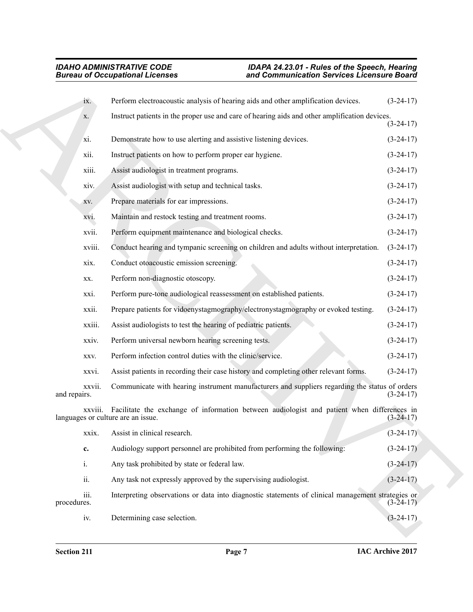|                        | <b>Bureau of Occupational Licenses</b>                                                                                                   | and Communication Services Licensure Board |
|------------------------|------------------------------------------------------------------------------------------------------------------------------------------|--------------------------------------------|
| ix.                    | Perform electroacoustic analysis of hearing aids and other amplification devices.                                                        | $(3-24-17)$                                |
| X.                     | Instruct patients in the proper use and care of hearing aids and other amplification devices.                                            | $(3-24-17)$                                |
| xi.                    | Demonstrate how to use alerting and assistive listening devices.                                                                         | $(3-24-17)$                                |
| xii.                   | Instruct patients on how to perform proper ear hygiene.                                                                                  | $(3-24-17)$                                |
| xiii.                  | Assist audiologist in treatment programs.                                                                                                | $(3-24-17)$                                |
| xiv.                   | Assist audiologist with setup and technical tasks.                                                                                       | $(3-24-17)$                                |
| XV.                    | Prepare materials for ear impressions.                                                                                                   | $(3-24-17)$                                |
| XVI.                   | Maintain and restock testing and treatment rooms.                                                                                        | $(3-24-17)$                                |
| xvii.                  | Perform equipment maintenance and biological checks.                                                                                     | $(3-24-17)$                                |
| xviii.                 | Conduct hearing and tympanic screening on children and adults without interpretation.                                                    | $(3-24-17)$                                |
| xix.                   | Conduct otoacoustic emission screening.                                                                                                  | $(3-24-17)$                                |
| XX.                    | Perform non-diagnostic otoscopy.                                                                                                         | $(3-24-17)$                                |
| xxi.                   | Perform pure-tone audiological reassessment on established patients.                                                                     | $(3-24-17)$                                |
| xxii.                  | Prepare patients for vidoenystagmography/electronystagmography or evoked testing.                                                        | $(3-24-17)$                                |
| xxiii.                 | Assist audiologists to test the hearing of pediatric patients.                                                                           | $(3-24-17)$                                |
| xxiv.                  | Perform universal newborn hearing screening tests.                                                                                       | $(3-24-17)$                                |
| XXV.                   | Perform infection control duties with the clinic/service.                                                                                | $(3-24-17)$                                |
| xxvi.                  | Assist patients in recording their case history and completing other relevant forms.                                                     | $(3-24-17)$                                |
| xxvii.<br>and repairs. | Communicate with hearing instrument manufacturers and suppliers regarding the status of orders                                           | $(3-24-17)$                                |
|                        | xxviii. Facilitate the exchange of information between audiologist and patient when differences in<br>languages or culture are an issue. | $(3 - 24 - 1)$                             |
| xxix.                  | Assist in clinical research.                                                                                                             | $(3-24-17)$                                |
| c.                     | Audiology support personnel are prohibited from performing the following:                                                                | $(3-24-17)$                                |
| i.                     | Any task prohibited by state or federal law.                                                                                             | $(3-24-17)$                                |
| ii.                    | Any task not expressly approved by the supervising audiologist.                                                                          | $(3-24-17)$                                |
| iii.<br>procedures.    | Interpreting observations or data into diagnostic statements of clinical management strategies or                                        | $(3-24-17)$                                |
| iv.                    | Determining case selection.                                                                                                              | $(3-24-17)$                                |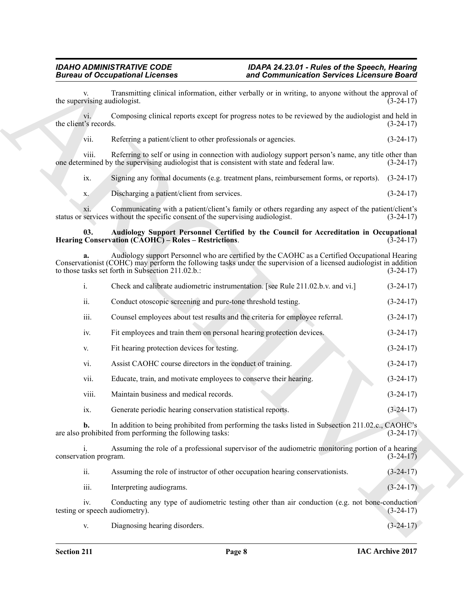#### <span id="page-7-0"></span>**03. Audiology Support Personnel Certified by the Council for Accreditation in Occupational Hearing Conservation (CAOHC) – Roles – Restrictions.**

|                       |                | <b>Bureau of Occupational Licenses</b>                                                                                                                                                                                                                                    | and Communication Services Licensure Board |             |
|-----------------------|----------------|---------------------------------------------------------------------------------------------------------------------------------------------------------------------------------------------------------------------------------------------------------------------------|--------------------------------------------|-------------|
|                       |                | Transmitting clinical information, either verbally or in writing, to anyone without the approval of<br>the supervising audiologist.                                                                                                                                       |                                            | $(3-24-17)$ |
| the client's records. | V1.            | Composing clinical reports except for progress notes to be reviewed by the audiologist and held in                                                                                                                                                                        |                                            | $(3-24-17)$ |
|                       | vii.           | Referring a patient/client to other professionals or agencies.                                                                                                                                                                                                            |                                            | $(3-24-17)$ |
|                       | viii.          | Referring to self or using in connection with audiology support person's name, any title other than<br>one determined by the supervising audiologist that is consistent with state and federal law.                                                                       |                                            | $(3-24-17)$ |
|                       | ix.            | Signing any formal documents (e.g. treatment plans, reimbursement forms, or reports).                                                                                                                                                                                     |                                            | $(3-24-17)$ |
|                       | X.             | Discharging a patient/client from services.                                                                                                                                                                                                                               |                                            | $(3-24-17)$ |
|                       | X1             | Communicating with a patient/client's family or others regarding any aspect of the patient/client's<br>status or services without the specific consent of the supervising audiologist.                                                                                    |                                            | $(3-24-17)$ |
|                       | 03.            | Audiology Support Personnel Certified by the Council for Accreditation in Occupational<br>Hearing Conservation (CAOHC) – Roles – Restrictions.                                                                                                                            |                                            | $(3-24-17)$ |
|                       | a.             | Audiology support Personnel who are certified by the CAOHC as a Certified Occupational Hearing<br>Conservationist (COHC) may perform the following tasks under the supervision of a licensed audiologist in addition<br>to those tasks set forth in Subsection 211.02.b.: |                                            | $(3-24-17)$ |
|                       | $\mathbf{i}$ . | Check and calibrate audiometric instrumentation. [see Rule 211.02.b.v. and vi.]                                                                                                                                                                                           |                                            | $(3-24-17)$ |
|                       | ii.            | Conduct otoscopic screening and pure-tone threshold testing.                                                                                                                                                                                                              |                                            | $(3-24-17)$ |
|                       | iii.           | Counsel employees about test results and the criteria for employee referral.                                                                                                                                                                                              |                                            | $(3-24-17)$ |
|                       | iv.            | Fit employees and train them on personal hearing protection devices.                                                                                                                                                                                                      |                                            | $(3-24-17)$ |
|                       | V.             | Fit hearing protection devices for testing.                                                                                                                                                                                                                               |                                            | $(3-24-17)$ |
|                       | vi.            | Assist CAOHC course directors in the conduct of training.                                                                                                                                                                                                                 |                                            | $(3-24-17)$ |
|                       | vii.           | Educate, train, and motivate employees to conserve their hearing.                                                                                                                                                                                                         |                                            | $(3-24-17)$ |
|                       | viii.          | Maintain business and medical records.                                                                                                                                                                                                                                    |                                            | $(3-24-17)$ |
|                       | ix.            | Generate periodic hearing conservation statistical reports.                                                                                                                                                                                                               |                                            | $(3-24-17)$ |
|                       | b.             | In addition to being prohibited from performing the tasks listed in Subsection 211.02.c., CAOHC's<br>are also prohibited from performing the following tasks:                                                                                                             |                                            | $(3-24-17)$ |
| conservation program. | $\mathbf{1}$ . | Assuming the role of a professional supervisor of the audiometric monitoring portion of a hearing                                                                                                                                                                         |                                            | $(3-24-17)$ |
|                       | ii.            | Assuming the role of instructor of other occupation hearing conservationists.                                                                                                                                                                                             |                                            | $(3-24-17)$ |
|                       | iii.           | Interpreting audiograms.                                                                                                                                                                                                                                                  |                                            | $(3-24-17)$ |
|                       | iv.            | Conducting any type of audiometric testing other than air conduction (e.g. not bone-conduction<br>testing or speech audiometry).                                                                                                                                          |                                            | $(3-24-17)$ |
|                       | V.             | Diagnosing hearing disorders.                                                                                                                                                                                                                                             |                                            | $(3-24-17)$ |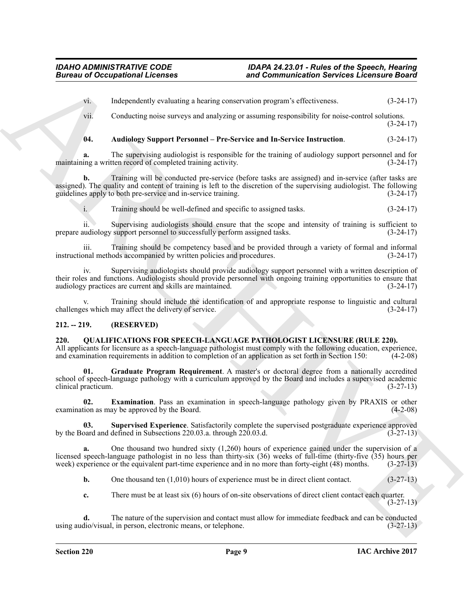vi. Independently evaluating a hearing conservation program's effectiveness. (3-24-17)

vii. Conducting noise surveys and analyzing or assuming responsibility for noise-control solutions. (3-24-17)

# <span id="page-8-6"></span>**04. Audiology Support Personnel – Pre-Service and In-Service Instruction**. (3-24-17)

**a.** The supervising audiologist is responsible for the training of audiology support personnel and for maintaining a written record of completed training activity. (3-24-17)

**b.** Training will be conducted pre-service (before tasks are assigned) and in-service (after tasks are assigned). The quality and content of training is left to the discretion of the supervising audiologist. The following guidelines apply to both pre-service and in-service training.  $(3-24-17)$ guidelines apply to both pre-service and in-service training.

i. Training should be well-defined and specific to assigned tasks. (3-24-17)

ii. Supervising audiologists should ensure that the scope and intensity of training is sufficient to prepare audiology support personnel to successfully perform assigned tasks. (3-24-17)

iii. Training should be competency based and be provided through a variety of formal and informal instructional methods accompanied by written policies and procedures.

iv. Supervising audiologists should provide audiology support personnel with a written description of their roles and functions. Audiologists should provide personnel with ongoing training opportunities to ensure that audiology practices are current and skills are maintained. (3-24-17) audiology practices are current and skills are maintained.

Training should include the identification of and appropriate response to linguistic and cultural may affect the delivery of service. (3-24-17) challenges which may affect the delivery of service.

# <span id="page-8-0"></span>**212. -- 219. (RESERVED)**

#### <span id="page-8-2"></span><span id="page-8-1"></span>**220. QUALIFICATIONS FOR SPEECH-LANGUAGE PATHOLOGIST LICENSURE (RULE 220).**

<span id="page-8-4"></span>All applicants for licensure as a speech-language pathologist must comply with the following education, experience, and examination requirements in addition to completion of an application as set forth in Section 150: (4-2 and examination requirements in addition to completion of an application as set forth in Section 150:

**Sincess of Occupations I.Leonards and Communication Services Licensine Services (and Services Licensine Services Licensine Services Licensine Services (b) 24:15)<br>
(a) Licensine Services and the service subsequenties (b) 01. Graduate Program Requirement**. A master's or doctoral degree from a nationally accredited school of speech-language pathology with a curriculum approved by the Board and includes a supervised academic clinical practicum. (3-27-13)

<span id="page-8-3"></span>**02. Examination**. Pass an examination in speech-language pathology given by PRAXIS or other examination as may be approved by the Board. (4-2-08)

**03.** Supervised Experience. Satisfactorily complete the supervised postgraduate experience approved poard and defined in Subsections 220.03.a. through 220.03.d.  $(3-27-13)$ by the Board and defined in Subsections 220.03.a. through 220.03.d.

**a.** One thousand two hundred sixty (1,260) hours of experience gained under the supervision of a licensed speech-language pathologist in no less than thirty-six (36) weeks of full-time (thirty-five (35) hours per week) experience or the equivalent part-time experience and in no more than forty-eight (48) months. (3-27 week) experience or the equivalent part-time experience and in no more than forty-eight (48) months.

<span id="page-8-5"></span>**b.** One thousand ten (1,010) hours of experience must be in direct client contact. (3-27-13)

**c.** There must be at least six (6) hours of on-site observations of direct client contact each quarter. (3-27-13)

**d.** The nature of the supervision and contact must allow for immediate feedback and can be conducted dio/visual, in person, electronic means, or telephone. (3-27-13) using audio/visual, in person, electronic means, or telephone.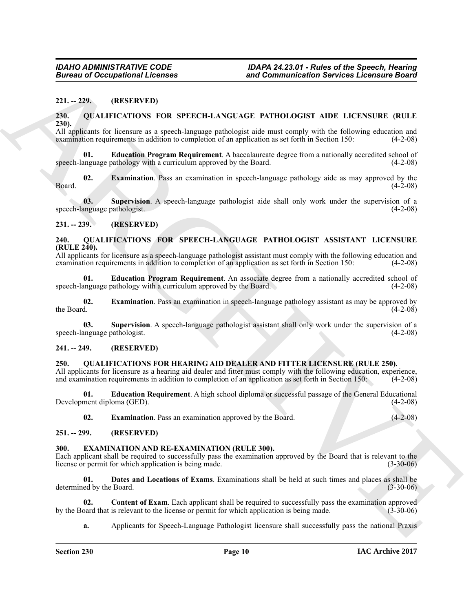#### <span id="page-9-0"></span>**221. -- 229. (RESERVED)**

#### <span id="page-9-13"></span><span id="page-9-1"></span>**230. QUALIFICATIONS FOR SPEECH-LANGUAGE PATHOLOGIST AIDE LICENSURE (RULE 230).**

All applicants for licensure as a speech-language pathologist aide must comply with the following education and examination requirements in addition to completion of an application as set forth in Section 150: (4-2-08) examination requirements in addition to completion of an application as set forth in Section 150:

<span id="page-9-15"></span><span id="page-9-14"></span>**Education Program Requirement**. A baccalaureate degree from a nationally accredited school of speech-language pathology with a curriculum approved by the Board. (4-2-08)

**Eurosis of Occupational Licenses** and Communication Services Licensine Board<br>
21. -229. (REELIVERS) POR SPEECH-LANGUAGE PATHOLOGIST ADE LECENSUR (RULE<br>
220. -229. (REELIVERS) POR SPEECH-LANGUAGE PATHOLOGIST ADE LECENSUR **02. Examination**. Pass an examination in speech-language pathology aide as may approved by the  $(4-2-08)$ Board. (4-2-08)

<span id="page-9-16"></span>**03. Supervision**. A speech-language pathologist aide shall only work under the supervision of a speech-language pathologist. (4-2-08)

#### <span id="page-9-2"></span>**231. -- 239. (RESERVED)**

#### <span id="page-9-17"></span><span id="page-9-3"></span>**240. QUALIFICATIONS FOR SPEECH-LANGUAGE PATHOLOGIST ASSISTANT LICENSURE (RULE 240).**

All applicants for licensure as a speech-language pathologist assistant must comply with the following education and examination requirements in addition to completion of an application as set forth in Section 150: (4-2-08 examination requirements in addition to completion of an application as set forth in Section 150:

<span id="page-9-18"></span>**01. Education Program Requirement**. An associate degree from a nationally accredited school of anguage pathology with a curriculum approved by the Board. (4-2-08) speech-language pathology with a curriculum approved by the Board.

<span id="page-9-19"></span>**02. Examination**. Pass an examination in speech-language pathology assistant as may be approved by the Board. (4-2-08) the Board.  $(4-2-08)$ 

<span id="page-9-20"></span>**03.** Supervision. A speech-language pathologist assistant shall only work under the supervision of a anguage pathologist. (4-2-08) speech-language pathologist.

### <span id="page-9-4"></span>**241. -- 249. (RESERVED)**

### <span id="page-9-11"></span><span id="page-9-5"></span>**250. QUALIFICATIONS FOR HEARING AID DEALER AND FITTER LICENSURE (RULE 250).**

All applicants for licensure as a hearing aid dealer and fitter must comply with the following education, experience, and examination requirements in addition to completion of an application as set forth in Section 150: (4 and examination requirements in addition to completion of an application as set forth in Section 150:

**01. Education Requirement**. A high school diploma or successful passage of the General Educational Development diploma (GED).

<span id="page-9-12"></span><span id="page-9-8"></span>**02. Examination**. Pass an examination approved by the Board. (4-2-08)

# <span id="page-9-6"></span>**251. -- 299. (RESERVED)**

#### <span id="page-9-7"></span>**300. EXAMINATION AND RE-EXAMINATION (RULE 300).**

Each applicant shall be required to successfully pass the examination approved by the Board that is relevant to the license or permit for which application is being made. (3-30-06) license or permit for which application is being made.

<span id="page-9-10"></span>**01. Dates and Locations of Exams**. Examinations shall be held at such times and places as shall be determined by the Board. (3-30-06)

**02. Content of Exam**. Each applicant shall be required to successfully pass the examination approved bard that is relevant to the license or permit for which application is being made. (3-30-06) by the Board that is relevant to the license or permit for which application is being made.

<span id="page-9-9"></span>**a.** Applicants for Speech-Language Pathologist licensure shall successfully pass the national Praxis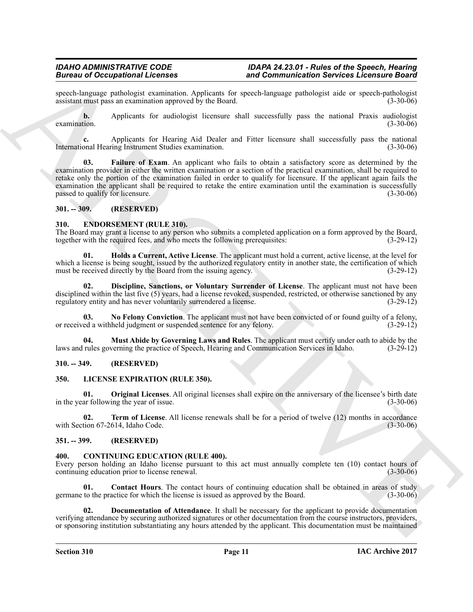speech-language pathologist examination. Applicants for speech-language pathologist aide or speech-pathologist assistant must pass an examination approved by the Board. (3-30-06) assistant must pass an examination approved by the Board.

**b.** Applicants for audiologist licensure shall successfully pass the national Praxis audiologist tion. (3-30-06) examination.  $(3-30-06)$ 

<span id="page-10-14"></span>**c.** Applicants for Hearing Aid Dealer and Fitter licensure shall successfully pass the national meaning Instrument Studies examination. International Hearing Instrument Studies examination.

Branch of Occupation II. Every the Branch of the Branch of the system and the system of the system of the system of the system of the system of the system of the system of the system of the system of the system of the sys **Failure of Exam**. An applicant who fails to obtain a satisfactory score as determined by the examination provider in either the written examination or a section of the practical examination, shall be required to retake only the portion of the examination failed in order to qualify for licensure. If the applicant again fails the examination the applicant shall be required to retake the entire examination until the examination is successfully passed to qualify for licensure. (3-30-06) passed to qualify for licensure.

### <span id="page-10-0"></span>**301. -- 309. (RESERVED)**

### <span id="page-10-9"></span><span id="page-10-1"></span>**310. ENDORSEMENT (RULE 310).**

The Board may grant a license to any person who submits a completed application on a form approved by the Board, together with the required fees, and who meets the following prerequisites: (3-29-12)

<span id="page-10-11"></span>**01. Holds a Current, Active License**. The applicant must hold a current, active license, at the level for which a license is being sought, issued by the authorized regulatory entity in another state, the certification of which must be received directly by the Board from the issuing agency. (3-29-12) must be received directly by the Board from the issuing agency.

<span id="page-10-10"></span>**02. Discipline, Sanctions, or Voluntary Surrender of License**. The applicant must not have been disciplined within the last five (5) years, had a license revoked, suspended, restricted, or otherwise sanctioned by any regulatory entity and has never voluntarily surrendered a license.  $(3-29-12)$ regulatory entity and has never voluntarily surrendered a license.

<span id="page-10-13"></span>**03.** No Felony Conviction. The applicant must not have been convicted of or found guilty of a felony, ed a withheld judgment or suspended sentence for any felony. or received a withheld judgment or suspended sentence for any felony.

<span id="page-10-12"></span>**04. Must Abide by Governing Laws and Rules**. The applicant must certify under oath to abide by the laws and rules governing the practice of Speech, Hearing and Communication Services in Idaho. (3-29-12)

# <span id="page-10-2"></span>**310. -- 349. (RESERVED)**

#### <span id="page-10-15"></span><span id="page-10-3"></span>**350. LICENSE EXPIRATION (RULE 350).**

<span id="page-10-16"></span>**01. Original Licenses**. All original licenses shall expire on the anniversary of the licensee's birth date ar following the vear of issue. in the year following the year of issue.

<span id="page-10-17"></span>**02. Term of License**. All license renewals shall be for a period of twelve (12) months in accordance tion 67-2614, Idaho Code. (3-30-06) with Section 67-2614, Idaho Code.

#### <span id="page-10-4"></span>**351. -- 399. (RESERVED)**

#### <span id="page-10-6"></span><span id="page-10-5"></span>**400. CONTINUING EDUCATION (RULE 400).**

Every person holding an Idaho license pursuant to this act must annually complete ten (10) contact hours of continuing education prior to license renewal. (3-30-06) continuing education prior to license renewal.

<span id="page-10-7"></span>**Contact Hours**. The contact hours of continuing education shall be obtained in areas of study actice for which the license is issued as approved by the Board. (3-30-06) germane to the practice for which the license is issued as approved by the Board.

<span id="page-10-8"></span>**02. Documentation of Attendance**. It shall be necessary for the applicant to provide documentation verifying attendance by securing authorized signatures or other documentation from the course instructors, providers, or sponsoring institution substantiating any hours attended by the applicant. This documentation must be maintained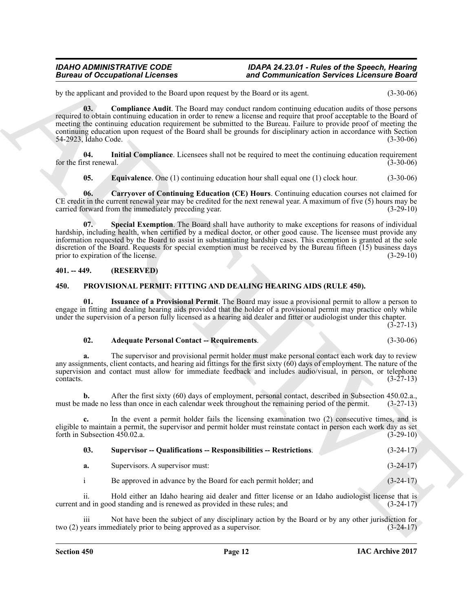<span id="page-11-3"></span>by the applicant and provided to the Board upon request by the Board or its agent. (3-30-06)

Bureau are Conceptions I. Leonards and Communication Services Leonards David Communication Services Leonards David Computer (1988)<br>
ARCHIVES and the state that the first of the state of the late of the state of the state **03. Compliance Audit**. The Board may conduct random continuing education audits of those persons required to obtain continuing education in order to renew a license and require that proof acceptable to the Board of meeting the continuing education requirement be submitted to the Bureau. Failure to provide proof of meeting the continuing education upon request of the Board shall be grounds for disciplinary action in accordance with Section 54-2923. Idaho Code. (3-30-06) 54-2923, Idaho Code.

**04. Initial Compliance**. Licensees shall not be required to meet the continuing education requirement for the first renewal. (3-30-06)

<span id="page-11-6"></span><span id="page-11-5"></span><span id="page-11-4"></span><span id="page-11-2"></span>**05. Equivalence**. One (1) continuing education hour shall equal one (1) clock hour. (3-30-06)

**06. Carryover of Continuing Education (CE) Hours**. Continuing education courses not claimed for CE credit in the current renewal year may be credited for the next renewal year. A maximum of five  $(5)$  hours may be carried forward from the immediately preceding year. carried forward from the immediately preceding year.

**07. Special Exemption**. The Board shall have authority to make exceptions for reasons of individual hardship, including health, when certified by a medical doctor, or other good cause. The licensee must provide any information requested by the Board to assist in substantiating hardship cases. This exemption is granted at the sole discretion of the Board. Requests for special exemption must be received by the Bureau fifteen  $(15)$  business days prior to expiration of the license. (3-29-10) prior to expiration of the license.

# <span id="page-11-0"></span>**401. -- 449. (RESERVED)**

### <span id="page-11-7"></span><span id="page-11-1"></span>**450. PROVISIONAL PERMIT: FITTING AND DEALING HEARING AIDS (RULE 450).**

**01. Issuance of a Provisional Permit**. The Board may issue a provisional permit to allow a person to engage in fitting and dealing hearing aids provided that the holder of a provisional permit may practice only while under the supervision of a person fully licensed as a hearing aid dealer and fitter or audiologist under this chapter.

 $(3-27-13)$ 

#### <span id="page-11-9"></span><span id="page-11-8"></span>**02. Adequate Personal Contact -- Requirements**. (3-30-06)

**a.** The supervisor and provisional permit holder must make personal contact each work day to review any assignments, client contacts, and hearing aid fittings for the first sixty  $(60)$  days of employment. The nature of the supervision and contact must allow for immediate feedback and includes audio/visual, in person, or telephone contacts. (3-27-13)  $\text{constants.}$  (3-27-13)

**b.** After the first sixty (60) days of employment, personal contact, described in Subsection 450.02.a., made no less than once in each calendar week throughout the remaining period of the permit. (3-27-13) must be made no less than once in each calendar week throughout the remaining period of the permit.

**c.** In the event a permit holder fails the licensing examination two (2) consecutive times, and is eligible to maintain a permit, the supervisor and permit holder must reinstate contact in person each work day as set forth in Subsection 450.02.a. (3-29-10) forth in Subsection  $450.02.a$ .

<span id="page-11-10"></span>

| 03. | <b>Supervisor -- Qualifications -- Responsibilities -- Restrictions.</b> | $(3-24-17)$ |
|-----|--------------------------------------------------------------------------|-------------|
|     | Supervisors. A supervisor must:                                          | $(3-24-17)$ |

i Be approved in advance by the Board for each permit holder; and (3-24-17)

ii. Hold either an Idaho hearing aid dealer and fitter license or an Idaho audiologist license that is nd in good standing and is renewed as provided in these rules; and  $(3-24-17)$ current and in good standing and is renewed as provided in these rules; and

Not have been the subject of any disciplinary action by the Board or by any other jurisdiction for rediately prior to being approved as a supervisor.  $(3-24-17)$ two (2) years immediately prior to being approved as a supervisor.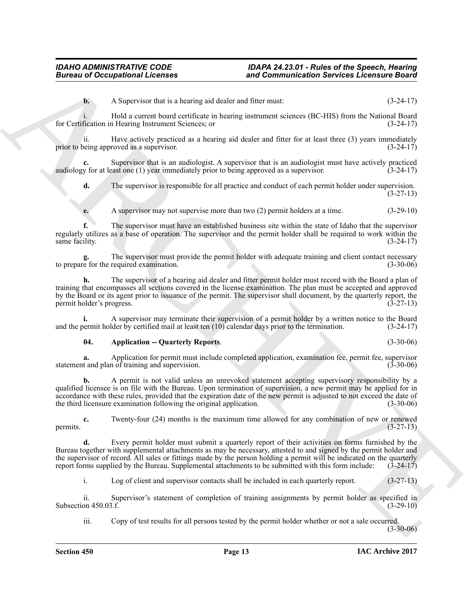**b.** A Supervisor that is a hearing aid dealer and fitter must: (3-24-17)

i. Hold a current board certificate in hearing instrument sciences (BC-HIS) from the National Board for Certification in Hearing Instrument Sciences; or (3-24-17)

ii. Have actively practiced as a hearing aid dealer and fitter for at least three (3) years immediately being approved as a supervisor. (3-24-17) prior to being approved as a supervisor.

**c.** Supervisor that is an audiologist. A supervisor that is an audiologist must have actively practiced audiology for at least one (1) year immediately prior to being approved as a supervisor. (3-24-17)

**d.** The supervisor is responsible for all practice and conduct of each permit holder under supervision. (3-27-13)

**e.** A supervisor may not supervise more than two (2) permit holders at a time. (3-29-10)

**f.** The supervisor must have an established business site within the state of Idaho that the supervisor regularly utilizes as a base of operation. The supervisor and the permit holder shall be required to work within the same facility.

**g.** The supervisor must provide the permit holder with adequate training and client contact necessary to prepare for the required examination. (3-30-06)

**h.** The supervisor of a hearing aid dealer and fitter permit holder must record with the Board a plan of training that encompasses all sections covered in the license examination. The plan must be accepted and approved by the Board or its agent prior to issuance of the permit. The supervisor shall document, by the quarterly report, the permit holder's progress. (3-27-13)

**i.** A supervisor may terminate their supervision of a permit holder by a written notice to the Board bermit holder by certified mail at least ten (10) calendar days prior to the termination. (3-24-17) and the permit holder by certified mail at least ten  $(10)$  calendar days prior to the termination.

#### <span id="page-12-0"></span>**04. Application -- Quarterly Reports**. (3-30-06)

**a.** Application for permit must include completed application, examination fee, permit fee, supervisor t and plan of training and supervision. statement and plan of training and supervision.

**Bureau of Occupational Licenses and Communication Services Licensus Constant Communication**<br>
ARCHIVES INTERFERIENCE INTERFERIENCE CONSTANT CONSTANT CONSTANT CONSTANT CONSTANT CONSTANT CONSTANT CONSTANT CONSTANT CONSTAN **b.** A permit is not valid unless an unrevoked statement accepting supervisory responsibility by a qualified licensee is on file with the Bureau. Upon termination of supervision, a new permit may be applied for in accordance with these rules, provided that the expiration date of the new permit is adjusted to not exceed the date of the third licensure examination following the original application. (3-30-06) the third licensure examination following the original application.

**c.** Twenty-four (24) months is the maximum time allowed for any combination of new or renewed (3-27-13) permits.  $(3-27-13)$ 

**d.** Every permit holder must submit a quarterly report of their activities on forms furnished by the Bureau together with supplemental attachments as may be necessary, attested to and signed by the permit holder and the supervisor of record. All sales or fittings made by the person holding a permit will be indicated on the quarterly report forms supplied by the Bureau. Supplemental attachments to be submitted with this form include: report forms supplied by the Bureau. Supplemental attachments to be submitted with this form include:

i. Log of client and supervisor contacts shall be included in each quarterly report. (3-27-13)

ii. Supervisor's statement of completion of training assignments by permit holder as specified in on 450.03.f. (3-29-10) Subsection 450.03.f.

iii. Copy of test results for all persons tested by the permit holder whether or not a sale occurred.  $(3-30-06)$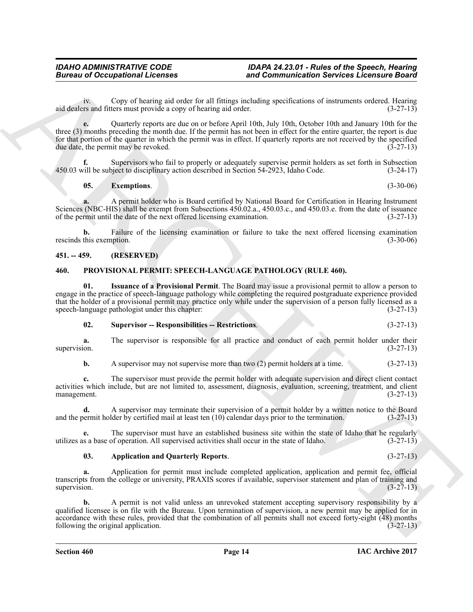iv. Copy of hearing aid order for all fittings including specifications of instruments ordered. Hearing aid dealers and fitters must provide a copy of hearing aid order.

Bureau of Occupational Lebensies<br>
and Communication Services Lebensies Constructions<br>
14 design of the communication Services Lebensies Constructions<br>
14 design of the communication Services Constructions (and the communi **e.** Quarterly reports are due on or before April 10th, July 10th, October 10th and January 10th for the three (3) months preceding the month due. If the permit has not been in effect for the entire quarter, the report is due for that portion of the quarter in which the permit was in effect. If quarterly reports are not received by the specified due date, the permit may be revoked. (3-27-13)

Supervisors who fail to properly or adequately supervise permit holders as set forth in Subsection piect to disciplinary action described in Section 54-2923, Idaho Code.  $(3-24-17)$ 450.03 will be subject to disciplinary action described in Section 54-2923, Idaho Code.

### <span id="page-13-2"></span>**05. Exemptions**. (3-30-06)

**a.** A permit holder who is Board certified by National Board for Certification in Hearing Instrument Sciences (NBC-HIS) shall be exempt from Subsections 450.02.a., 450.03.c., and 450.03.e. from the date of issuance of the permit until the date of the next offered licensing examination. (3-27-13) of the permit until the date of the next offered licensing examination.

**b.** Failure of the licensing examination or failure to take the next offered licensing examination this exemption. (3-30-06) rescinds this exemption.

# <span id="page-13-0"></span>**451. -- 459. (RESERVED)**

### <span id="page-13-3"></span><span id="page-13-1"></span>**460. PROVISIONAL PERMIT: SPEECH-LANGUAGE PATHOLOGY (RULE 460).**

**01. Issuance of a Provisional Permit**. The Board may issue a provisional permit to allow a person to engage in the practice of speech-language pathology while completing the required postgraduate experience provided that the holder of a provisional permit may practice only while under the supervision of a person fully licensed as a speech-language pathologist under this chapter: (3-27-13) speech-language pathologist under this chapter:

<span id="page-13-6"></span><span id="page-13-5"></span>

| 02. | <b>Supervisor -- Responsibilities -- Restrictions.</b> | $(3-27-13)$ |
|-----|--------------------------------------------------------|-------------|
|-----|--------------------------------------------------------|-------------|

**a.** The supervisor is responsible for all practice and conduct of each permit holder under their supervision.  $(3-27-13)$ 

**b.** A supervisor may not supervise more than two (2) permit holders at a time. (3-27-13)

**c.** The supervisor must provide the permit holder with adequate supervision and direct client contact activities which include, but are not limited to, assessment, diagnosis, evaluation, screening, treatment, and client management. (3-27-13) management.

**d.** A supervisor may terminate their supervision of a permit holder by a written notice to the Board and the permit holder by certified mail at least ten (10) calendar days prior to the termination. (3-27-13)

**e.** The supervisor must have an established business site within the state of Idaho that he regularly s a base of operation. All supervised activities shall occur in the state of Idaho.  $(3-27-13)$ utilizes as a base of operation. All supervised activities shall occur in the state of Idaho. (3-27-13)

#### <span id="page-13-4"></span>**03. Application and Quarterly Reports**. (3-27-13)

**a.** Application for permit must include completed application, application and permit fee, official transcripts from the college or university, PRAXIS scores if available, supervisor statement and plan of training and supervision.  $(3-27-13)$ 

**b.** A permit is not valid unless an unrevoked statement accepting supervisory responsibility by a qualified licensee is on file with the Bureau. Upon termination of supervision, a new permit may be applied for in accordance with these rules, provided that the combination of all permits shall not exceed forty-eight  $(48)$  months following the original application. following the original application.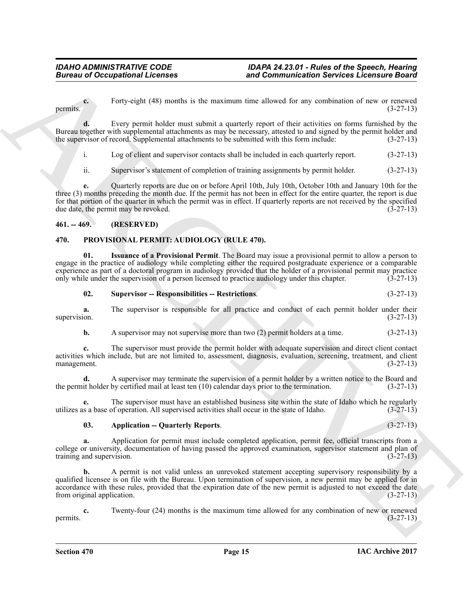Forty-eight (48) months is the maximum time allowed for any combination of new or renewed (3-27-13) permits.  $(3-27-13)$ 

**d.** Every permit holder must submit a quarterly report of their activities on forms furnished by the Bureau together with supplemental attachments as may be necessary, attested to and signed by the permit holder and the supervisor of record. Supplemental attachments to be submitted with this form include:  $(3-27-13)$ the supervisor of record. Supplemental attachments to be submitted with this form include:

i. Log of client and supervisor contacts shall be included in each quarterly report. (3-27-13)

ii. Supervisor's statement of completion of training assignments by permit holder. (3-27-13)

Bureau of Occupational Licensies<br>
Forces and Communication Services Licensies Computer and the services of the services of the services of the services of the services of the services of the services of the services of th **e.** Quarterly reports are due on or before April 10th, July 10th, October 10th and January 10th for the three (3) months preceding the month due. If the permit has not been in effect for the entire quarter, the report is due for that portion of the quarter in which the permit was in effect. If quarterly reports are not received by the specified due date, the permit may be revoked.  $(3-27-13)$ 

### <span id="page-14-0"></span>**461. -- 469. (RESERVED)**

# <span id="page-14-2"></span><span id="page-14-1"></span>**470. PROVISIONAL PERMIT: AUDIOLOGY (RULE 470).**

**01. Issuance of a Provisional Permit**. The Board may issue a provisional permit to allow a person to engage in the practice of audiology while completing either the required postgraduate experience or a comparable experience as part of a doctoral program in audiology provided that the holder of a provisional permit may practice only while under the supervision of a person licensed to practice audiology under this chapter. (3-27-13)

### <span id="page-14-5"></span><span id="page-14-4"></span>**02. Supervisor -- Responsibilities -- Restrictions**. (3-27-13)

**a.** The supervisor is responsible for all practice and conduct of each permit holder under their (3-27-13) supervision.  $(3-27-13)$ 

**b.** A supervisor may not supervise more than two (2) permit holders at a time.  $(3-27-13)$ 

**c.** The supervisor must provide the permit holder with adequate supervision and direct client contact activities which include, but are not limited to, assessment, diagnosis, evaluation, screening, treatment, and client management. (3-27-13) management.

**d.** A supervisor may terminate the supervision of a permit holder by a written notice to the Board and the permit holder by certified mail at least ten (10) calendar days prior to the termination. (3-27-13)

**e.** The supervisor must have an established business site within the state of Idaho which he regularly is a base of operation. All supervised activities shall occur in the state of Idaho.  $(3-27-13)$ utilizes as a base of operation. All supervised activities shall occur in the state of Idaho. (3-27-13)

### <span id="page-14-3"></span>**03. Application -- Quarterly Reports**. (3-27-13)

**a.** Application for permit must include completed application, permit fee, official transcripts from a college or university, documentation of having passed the approved examination, supervisor statement and plan of training and supervision. (3-27-13)

**b.** A permit is not valid unless an unrevoked statement accepting supervisory responsibility by a qualified licensee is on file with the Bureau. Upon termination of supervision, a new permit may be applied for in accordance with these rules, provided that the expiration date of the new permit is adjusted to not exceed the date from original application. (3-27-13) from original application.

**c.** Twenty-four (24) months is the maximum time allowed for any combination of new or renewed (3-27-13) permits.  $(3-27-13)$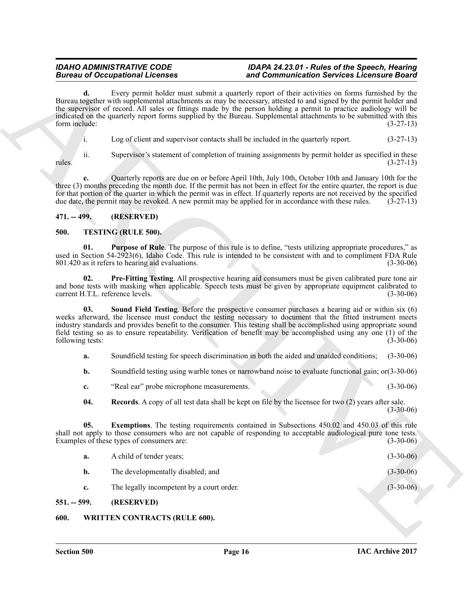# <span id="page-15-0"></span>**471. -- 499. (RESERVED)**

# <span id="page-15-7"></span><span id="page-15-6"></span><span id="page-15-4"></span><span id="page-15-1"></span>**500. TESTING (RULE 500).**

- <span id="page-15-9"></span>**c.** "Real ear" probe microphone measurements. (3-30-06)
- <span id="page-15-8"></span><span id="page-15-5"></span>**04. Records**. A copy of all test data shall be kept on file by the licensee for two (2) years after sale. (3-30-06)

| Every permit holder must submit a quarterly report of their activities on forms furnished by the<br>d.<br>Bureau together with supplemental attachments as may be necessary, attested to and signed by the permit holder and<br>the supervisor of record. All sales or fittings made by the person holding a permit to practice audiology will be<br>indicated on the quarterly report forms supplied by the Bureau. Supplemental attachments to be submitted with this<br>form include:<br>i.<br>Log of client and supervisor contacts shall be included in the quarterly report.<br>ii.<br>Supervisor's statement of completion of training assignments by permit holder as specified in these<br>rules.<br>Quarterly reports are due on or before April 10th, July 10th, October 10th and January 10th for the<br>e.<br>three (3) months preceding the month due. If the permit has not been in effect for the entire quarter, the report is due<br>for that portion of the quarter in which the permit was in effect. If quarterly reports are not received by the specified<br>due date, the permit may be revoked. A new permit may be applied for in accordance with these rules.<br>(RESERVED)<br>$471. - 499.$<br><b>TESTING (RULE 500).</b><br>500.<br><b>Purpose of Rule</b> . The purpose of this rule is to define, "tests utilizing appropriate procedures," as<br>01.<br>used in Section 54-2923(6), Idaho Code. This rule is intended to be consistent with and to compliment FDA Rule<br>801.420 as it refers to hearing aid evaluations.<br>Pre-Fitting Testing. All prospective hearing aid consumers must be given calibrated pure tone air<br>02.<br>and bone tests with masking when applicable. Speech tests must be given by appropriate equipment calibrated to<br>current H.T.L. reference levels.<br>Sound Field Testing. Before the prospective consumer purchases a hearing aid or within six (6)<br>03.<br>weeks afterward, the licensee must conduct the testing necessary to document that the fitted instrument meets<br>industry standards and provides benefit to the consumer. This testing shall be accomplished using appropriate sound<br>field testing so as to ensure repeatability. Verification of benefit may be accomplished using any one (1) of the<br>following tests:<br>Soundfield testing for speech discrimination in both the aided and unaided conditions;<br>a.<br>Soundfield testing using warble tones or narrowband noise to evaluate functional gain; $or(3-30-06)$<br>$\mathbf{b}$ .<br>"Real ear" probe microphone measurements.<br>c.<br><b>Records.</b> A copy of all test data shall be kept on file by the licensee for two (2) years after sale.<br>04.<br><b>Exemptions</b> . The testing requirements contained in Subsections 450.02 and 450.03 of this rule<br>05.<br>shall not apply to those consumers who are not capable of responding to acceptable audiological pure tone tests.<br>Examples of these types of consumers are:<br>A child of tender years;<br>a.<br>The developmentally disabled; and<br>b.<br>The legally incompetent by a court order.<br>c. | <b>Bureau of Occupational Licenses</b> | and Communication Services Licensure Board |             |
|-------------------------------------------------------------------------------------------------------------------------------------------------------------------------------------------------------------------------------------------------------------------------------------------------------------------------------------------------------------------------------------------------------------------------------------------------------------------------------------------------------------------------------------------------------------------------------------------------------------------------------------------------------------------------------------------------------------------------------------------------------------------------------------------------------------------------------------------------------------------------------------------------------------------------------------------------------------------------------------------------------------------------------------------------------------------------------------------------------------------------------------------------------------------------------------------------------------------------------------------------------------------------------------------------------------------------------------------------------------------------------------------------------------------------------------------------------------------------------------------------------------------------------------------------------------------------------------------------------------------------------------------------------------------------------------------------------------------------------------------------------------------------------------------------------------------------------------------------------------------------------------------------------------------------------------------------------------------------------------------------------------------------------------------------------------------------------------------------------------------------------------------------------------------------------------------------------------------------------------------------------------------------------------------------------------------------------------------------------------------------------------------------------------------------------------------------------------------------------------------------------------------------------------------------------------------------------------------------------------------------------------------------------------------------------------------------------------------------------------------------------------------------------------------------------------------------------------------------------------------------------------------------------------------------------------------------------------------------------------------------------------------------------------------------------------------------------------------------------------------------------------------|----------------------------------------|--------------------------------------------|-------------|
|                                                                                                                                                                                                                                                                                                                                                                                                                                                                                                                                                                                                                                                                                                                                                                                                                                                                                                                                                                                                                                                                                                                                                                                                                                                                                                                                                                                                                                                                                                                                                                                                                                                                                                                                                                                                                                                                                                                                                                                                                                                                                                                                                                                                                                                                                                                                                                                                                                                                                                                                                                                                                                                                                                                                                                                                                                                                                                                                                                                                                                                                                                                                           |                                        |                                            | $(3-27-13)$ |
|                                                                                                                                                                                                                                                                                                                                                                                                                                                                                                                                                                                                                                                                                                                                                                                                                                                                                                                                                                                                                                                                                                                                                                                                                                                                                                                                                                                                                                                                                                                                                                                                                                                                                                                                                                                                                                                                                                                                                                                                                                                                                                                                                                                                                                                                                                                                                                                                                                                                                                                                                                                                                                                                                                                                                                                                                                                                                                                                                                                                                                                                                                                                           |                                        |                                            | $(3-27-13)$ |
|                                                                                                                                                                                                                                                                                                                                                                                                                                                                                                                                                                                                                                                                                                                                                                                                                                                                                                                                                                                                                                                                                                                                                                                                                                                                                                                                                                                                                                                                                                                                                                                                                                                                                                                                                                                                                                                                                                                                                                                                                                                                                                                                                                                                                                                                                                                                                                                                                                                                                                                                                                                                                                                                                                                                                                                                                                                                                                                                                                                                                                                                                                                                           |                                        |                                            | $(3-27-13)$ |
|                                                                                                                                                                                                                                                                                                                                                                                                                                                                                                                                                                                                                                                                                                                                                                                                                                                                                                                                                                                                                                                                                                                                                                                                                                                                                                                                                                                                                                                                                                                                                                                                                                                                                                                                                                                                                                                                                                                                                                                                                                                                                                                                                                                                                                                                                                                                                                                                                                                                                                                                                                                                                                                                                                                                                                                                                                                                                                                                                                                                                                                                                                                                           |                                        |                                            | $(3-27-13)$ |
|                                                                                                                                                                                                                                                                                                                                                                                                                                                                                                                                                                                                                                                                                                                                                                                                                                                                                                                                                                                                                                                                                                                                                                                                                                                                                                                                                                                                                                                                                                                                                                                                                                                                                                                                                                                                                                                                                                                                                                                                                                                                                                                                                                                                                                                                                                                                                                                                                                                                                                                                                                                                                                                                                                                                                                                                                                                                                                                                                                                                                                                                                                                                           |                                        |                                            |             |
|                                                                                                                                                                                                                                                                                                                                                                                                                                                                                                                                                                                                                                                                                                                                                                                                                                                                                                                                                                                                                                                                                                                                                                                                                                                                                                                                                                                                                                                                                                                                                                                                                                                                                                                                                                                                                                                                                                                                                                                                                                                                                                                                                                                                                                                                                                                                                                                                                                                                                                                                                                                                                                                                                                                                                                                                                                                                                                                                                                                                                                                                                                                                           |                                        |                                            |             |
|                                                                                                                                                                                                                                                                                                                                                                                                                                                                                                                                                                                                                                                                                                                                                                                                                                                                                                                                                                                                                                                                                                                                                                                                                                                                                                                                                                                                                                                                                                                                                                                                                                                                                                                                                                                                                                                                                                                                                                                                                                                                                                                                                                                                                                                                                                                                                                                                                                                                                                                                                                                                                                                                                                                                                                                                                                                                                                                                                                                                                                                                                                                                           |                                        |                                            | $(3-30-06)$ |
|                                                                                                                                                                                                                                                                                                                                                                                                                                                                                                                                                                                                                                                                                                                                                                                                                                                                                                                                                                                                                                                                                                                                                                                                                                                                                                                                                                                                                                                                                                                                                                                                                                                                                                                                                                                                                                                                                                                                                                                                                                                                                                                                                                                                                                                                                                                                                                                                                                                                                                                                                                                                                                                                                                                                                                                                                                                                                                                                                                                                                                                                                                                                           |                                        |                                            | $(3-30-06)$ |
|                                                                                                                                                                                                                                                                                                                                                                                                                                                                                                                                                                                                                                                                                                                                                                                                                                                                                                                                                                                                                                                                                                                                                                                                                                                                                                                                                                                                                                                                                                                                                                                                                                                                                                                                                                                                                                                                                                                                                                                                                                                                                                                                                                                                                                                                                                                                                                                                                                                                                                                                                                                                                                                                                                                                                                                                                                                                                                                                                                                                                                                                                                                                           |                                        |                                            | $(3-30-06)$ |
|                                                                                                                                                                                                                                                                                                                                                                                                                                                                                                                                                                                                                                                                                                                                                                                                                                                                                                                                                                                                                                                                                                                                                                                                                                                                                                                                                                                                                                                                                                                                                                                                                                                                                                                                                                                                                                                                                                                                                                                                                                                                                                                                                                                                                                                                                                                                                                                                                                                                                                                                                                                                                                                                                                                                                                                                                                                                                                                                                                                                                                                                                                                                           |                                        |                                            | $(3-30-06)$ |
|                                                                                                                                                                                                                                                                                                                                                                                                                                                                                                                                                                                                                                                                                                                                                                                                                                                                                                                                                                                                                                                                                                                                                                                                                                                                                                                                                                                                                                                                                                                                                                                                                                                                                                                                                                                                                                                                                                                                                                                                                                                                                                                                                                                                                                                                                                                                                                                                                                                                                                                                                                                                                                                                                                                                                                                                                                                                                                                                                                                                                                                                                                                                           |                                        |                                            |             |
|                                                                                                                                                                                                                                                                                                                                                                                                                                                                                                                                                                                                                                                                                                                                                                                                                                                                                                                                                                                                                                                                                                                                                                                                                                                                                                                                                                                                                                                                                                                                                                                                                                                                                                                                                                                                                                                                                                                                                                                                                                                                                                                                                                                                                                                                                                                                                                                                                                                                                                                                                                                                                                                                                                                                                                                                                                                                                                                                                                                                                                                                                                                                           |                                        |                                            | $(3-30-06)$ |
|                                                                                                                                                                                                                                                                                                                                                                                                                                                                                                                                                                                                                                                                                                                                                                                                                                                                                                                                                                                                                                                                                                                                                                                                                                                                                                                                                                                                                                                                                                                                                                                                                                                                                                                                                                                                                                                                                                                                                                                                                                                                                                                                                                                                                                                                                                                                                                                                                                                                                                                                                                                                                                                                                                                                                                                                                                                                                                                                                                                                                                                                                                                                           |                                        |                                            | $(3-30-06)$ |
|                                                                                                                                                                                                                                                                                                                                                                                                                                                                                                                                                                                                                                                                                                                                                                                                                                                                                                                                                                                                                                                                                                                                                                                                                                                                                                                                                                                                                                                                                                                                                                                                                                                                                                                                                                                                                                                                                                                                                                                                                                                                                                                                                                                                                                                                                                                                                                                                                                                                                                                                                                                                                                                                                                                                                                                                                                                                                                                                                                                                                                                                                                                                           |                                        |                                            | $(3-30-06)$ |
|                                                                                                                                                                                                                                                                                                                                                                                                                                                                                                                                                                                                                                                                                                                                                                                                                                                                                                                                                                                                                                                                                                                                                                                                                                                                                                                                                                                                                                                                                                                                                                                                                                                                                                                                                                                                                                                                                                                                                                                                                                                                                                                                                                                                                                                                                                                                                                                                                                                                                                                                                                                                                                                                                                                                                                                                                                                                                                                                                                                                                                                                                                                                           |                                        |                                            | $(3-30-06)$ |
|                                                                                                                                                                                                                                                                                                                                                                                                                                                                                                                                                                                                                                                                                                                                                                                                                                                                                                                                                                                                                                                                                                                                                                                                                                                                                                                                                                                                                                                                                                                                                                                                                                                                                                                                                                                                                                                                                                                                                                                                                                                                                                                                                                                                                                                                                                                                                                                                                                                                                                                                                                                                                                                                                                                                                                                                                                                                                                                                                                                                                                                                                                                                           |                                        |                                            | $(3-30-06)$ |
|                                                                                                                                                                                                                                                                                                                                                                                                                                                                                                                                                                                                                                                                                                                                                                                                                                                                                                                                                                                                                                                                                                                                                                                                                                                                                                                                                                                                                                                                                                                                                                                                                                                                                                                                                                                                                                                                                                                                                                                                                                                                                                                                                                                                                                                                                                                                                                                                                                                                                                                                                                                                                                                                                                                                                                                                                                                                                                                                                                                                                                                                                                                                           |                                        |                                            | $(3-30-06)$ |
| $551. - 599.$<br>(RESERVED)                                                                                                                                                                                                                                                                                                                                                                                                                                                                                                                                                                                                                                                                                                                                                                                                                                                                                                                                                                                                                                                                                                                                                                                                                                                                                                                                                                                                                                                                                                                                                                                                                                                                                                                                                                                                                                                                                                                                                                                                                                                                                                                                                                                                                                                                                                                                                                                                                                                                                                                                                                                                                                                                                                                                                                                                                                                                                                                                                                                                                                                                                                               |                                        |                                            |             |

# <span id="page-15-2"></span>**551. -- 599. (RESERVED)**

# <span id="page-15-10"></span><span id="page-15-3"></span>**600. WRITTEN CONTRACTS (RULE 600).**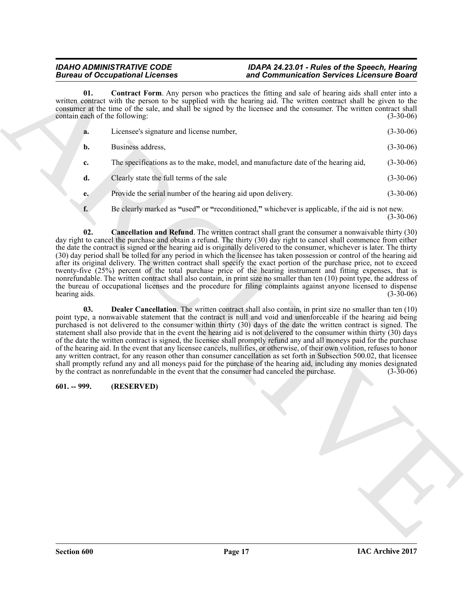<span id="page-16-2"></span>

|                                       | <b>Bureau of Occupational Licenses</b>                                                     | and Communication Services Licensure Board                                                                                                                                                                                                                                                                                                                                                                                                                                                                                                                                                                                                                                                                                                                                                                                                                                                                                                                                                    |             |
|---------------------------------------|--------------------------------------------------------------------------------------------|-----------------------------------------------------------------------------------------------------------------------------------------------------------------------------------------------------------------------------------------------------------------------------------------------------------------------------------------------------------------------------------------------------------------------------------------------------------------------------------------------------------------------------------------------------------------------------------------------------------------------------------------------------------------------------------------------------------------------------------------------------------------------------------------------------------------------------------------------------------------------------------------------------------------------------------------------------------------------------------------------|-------------|
| 01.<br>contain each of the following: |                                                                                            | <b>Contract Form.</b> Any person who practices the fitting and sale of hearing aids shall enter into a<br>written contract with the person to be supplied with the hearing aid. The written contract shall be given to the<br>consumer at the time of the sale, and shall be signed by the licensee and the consumer. The written contract shall                                                                                                                                                                                                                                                                                                                                                                                                                                                                                                                                                                                                                                              | $(3-30-06)$ |
| a.                                    | Licensee's signature and license number,                                                   |                                                                                                                                                                                                                                                                                                                                                                                                                                                                                                                                                                                                                                                                                                                                                                                                                                                                                                                                                                                               | $(3-30-06)$ |
| b.                                    | Business address,                                                                          |                                                                                                                                                                                                                                                                                                                                                                                                                                                                                                                                                                                                                                                                                                                                                                                                                                                                                                                                                                                               | $(3-30-06)$ |
| c.                                    |                                                                                            | The specifications as to the make, model, and manufacture date of the hearing aid,                                                                                                                                                                                                                                                                                                                                                                                                                                                                                                                                                                                                                                                                                                                                                                                                                                                                                                            | $(3-30-06)$ |
| d.                                    | Clearly state the full terms of the sale                                                   |                                                                                                                                                                                                                                                                                                                                                                                                                                                                                                                                                                                                                                                                                                                                                                                                                                                                                                                                                                                               | $(3-30-06)$ |
| e.                                    | Provide the serial number of the hearing aid upon delivery.                                |                                                                                                                                                                                                                                                                                                                                                                                                                                                                                                                                                                                                                                                                                                                                                                                                                                                                                                                                                                                               | $(3-30-06)$ |
| f.                                    |                                                                                            | Be clearly marked as "used" or "reconditioned," whichever is applicable, if the aid is not new.                                                                                                                                                                                                                                                                                                                                                                                                                                                                                                                                                                                                                                                                                                                                                                                                                                                                                               | $(3-30-06)$ |
| 02.<br>hearing aids.                  |                                                                                            | Cancellation and Refund. The written contract shall grant the consumer a nonwaivable thirty (30)<br>day right to cancel the purchase and obtain a refund. The thirty (30) day right to cancel shall commence from either<br>the date the contract is signed or the hearing aid is originally delivered to the consumer, whichever is later. The thirty<br>(30) day period shall be tolled for any period in which the licensee has taken possession or control of the hearing aid<br>after its original delivery. The written contract shall specify the exact portion of the purchase price, not to exceed<br>twenty-five (25%) percent of the total purchase price of the hearing instrument and fitting expenses, that is<br>nonrefundable. The written contract shall also contain, in print size no smaller than ten (10) point type, the address of<br>the bureau of occupational licenses and the procedure for filing complaints against anyone licensed to dispense                  | $(3-30-06)$ |
| 03.                                   | by the contract as nonrefundable in the event that the consumer had canceled the purchase. | <b>Dealer Cancellation</b> . The written contract shall also contain, in print size no smaller than ten (10)<br>point type, a nonwaivable statement that the contract is null and void and unenforceable if the hearing aid being<br>purchased is not delivered to the consumer within thirty (30) days of the date the written contract is signed. The<br>statement shall also provide that in the event the hearing aid is not delivered to the consumer within thirty (30) days<br>of the date the written contract is signed, the licensee shall promptly refund any and all moneys paid for the purchase<br>of the hearing aid. In the event that any licensee cancels, nullifies, or otherwise, of their own volition, refuses to honor<br>any written contract, for any reason other than consumer cancellation as set forth in Subsection 500.02, that licensee<br>shall promptly refund any and all moneys paid for the purchase of the hearing aid, including any monies designated | $(3-30-06)$ |
| $601. - 999.$                         | (RESERVED)                                                                                 |                                                                                                                                                                                                                                                                                                                                                                                                                                                                                                                                                                                                                                                                                                                                                                                                                                                                                                                                                                                               |             |
|                                       |                                                                                            |                                                                                                                                                                                                                                                                                                                                                                                                                                                                                                                                                                                                                                                                                                                                                                                                                                                                                                                                                                                               |             |
|                                       |                                                                                            |                                                                                                                                                                                                                                                                                                                                                                                                                                                                                                                                                                                                                                                                                                                                                                                                                                                                                                                                                                                               |             |
|                                       |                                                                                            |                                                                                                                                                                                                                                                                                                                                                                                                                                                                                                                                                                                                                                                                                                                                                                                                                                                                                                                                                                                               |             |
|                                       |                                                                                            |                                                                                                                                                                                                                                                                                                                                                                                                                                                                                                                                                                                                                                                                                                                                                                                                                                                                                                                                                                                               |             |
|                                       |                                                                                            |                                                                                                                                                                                                                                                                                                                                                                                                                                                                                                                                                                                                                                                                                                                                                                                                                                                                                                                                                                                               |             |

# <span id="page-16-3"></span><span id="page-16-1"></span><span id="page-16-0"></span>**601. -- 999. (RESERVED)**